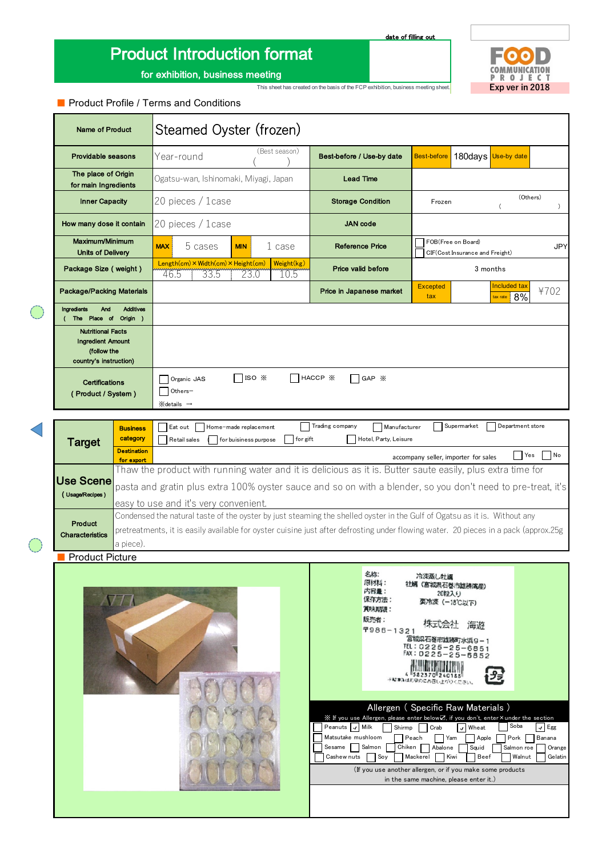# Product Introduction format

date of filling out

Allergen ( Specific Raw Materials ) ※ If you use Allergen, please enter below☑, if you don't, enter×under the section

 $\begin{array}{c} \begin{array}{c} \hline \text{minimize} \\ \text{maxmax} \\ \text{maxmaxmax} \\ \end{array} \end{array}$ 

Peanuts Milk Shirmp Crab Mheat Soba MEgg Yam Soy Mackerel Kiwi Beef Walnut

Banana

Pork

Orange

(If you use another allergen, or if you make some products in the same machine, please enter it.)

Cashew nuts Soy Mackerel Kiwi Beef Walnut Gelatin

Beef

Abalone Squid Salmon roe

投票

Mackerel Peach Sesame Salmon Chiken Abalone Squid Matsutake mushloom **Apple** Peach **Apple** 



for exhibition, business meeting

写真 商品の全体がわかる写真を貼付

### ■ Product Profile / Terms and Conditions

| <b>Name of Product</b>                                                                        |                                | Steamed Oyster (frozen)                                                                                                                                            |  |                    |                                                                                 |                                                            |                                                                                                                         |            |                                |      |
|-----------------------------------------------------------------------------------------------|--------------------------------|--------------------------------------------------------------------------------------------------------------------------------------------------------------------|--|--------------------|---------------------------------------------------------------------------------|------------------------------------------------------------|-------------------------------------------------------------------------------------------------------------------------|------------|--------------------------------|------|
| <b>Providable seasons</b>                                                                     |                                | Year-round                                                                                                                                                         |  | (Best season)      | Best-before / Use-by date                                                       |                                                            | <b>Best-before</b>                                                                                                      |            | 180days Use-by date            |      |
| The place of Origin<br>for main Ingredients                                                   |                                | Ogatsu-wan, Ishinomaki, Miyagi, Japan                                                                                                                              |  | <b>Lead Time</b>   |                                                                                 |                                                            |                                                                                                                         |            |                                |      |
| <b>Inner Capacity</b>                                                                         |                                | 20 pieces / 1case                                                                                                                                                  |  |                    | (Others)<br><b>Storage Condition</b><br>Frozen<br>$\overline{ }$                |                                                            |                                                                                                                         | $\lambda$  |                                |      |
| How many dose it contain                                                                      |                                | 20 pieces / 1 case                                                                                                                                                 |  |                    | <b>JAN</b> code                                                                 |                                                            |                                                                                                                         |            |                                |      |
| Maximum/Minimum<br><b>Units of Delivery</b>                                                   |                                | 5 cases<br><b>MAX</b><br>1 case<br><b>MIN</b>                                                                                                                      |  |                    | FOB(Free on Board)<br><b>Reference Price</b><br>CIF(Cost Insurance and Freight) |                                                            |                                                                                                                         | <b>JPY</b> |                                |      |
| Package Size (weight)                                                                         |                                | Length(cm) × Width(cm) × Height(cm)<br>Weight(kg)<br>33.5<br>-23.0<br>10.5<br>46.5                                                                                 |  | Price valid before |                                                                                 | 3 months                                                   |                                                                                                                         |            |                                |      |
| <b>Package/Packing Materials</b>                                                              |                                |                                                                                                                                                                    |  |                    | Price in Japanese market                                                        |                                                            | <b>Excepted</b><br>tax                                                                                                  |            | Included tax<br>8%<br>tax rate | ¥702 |
| <b>Additives</b><br><b>Ingredients</b><br>And<br>Place of<br>Origin )<br>The                  |                                |                                                                                                                                                                    |  |                    |                                                                                 |                                                            |                                                                                                                         |            |                                |      |
| <b>Nutritional Facts</b><br><b>Ingredient Amount</b><br>(follow the<br>country's instruction) |                                |                                                                                                                                                                    |  |                    |                                                                                 |                                                            |                                                                                                                         |            |                                |      |
| <b>Certifications</b><br>(Product / System)                                                   |                                | ISO X<br>HACCP X<br>GAP X<br>Organic JAS<br>Others-<br>$\otimes$ details $\rightarrow$                                                                             |  |                    |                                                                                 |                                                            |                                                                                                                         |            |                                |      |
|                                                                                               | <b>Business</b>                | Trading company<br>Supermarket<br>Department store<br>Home-made replacement<br>Manufacturer<br>Eat out                                                             |  |                    |                                                                                 |                                                            |                                                                                                                         |            |                                |      |
| <b>Target</b>                                                                                 | category<br><b>Destination</b> | Hotel, Party, Leisure<br>for gift<br>Retail sales<br>for buisiness purpose<br>N <sub>o</sub><br> Yes                                                               |  |                    |                                                                                 |                                                            |                                                                                                                         |            |                                |      |
|                                                                                               | for export                     | accompany seller, importer for sales<br>Thaw the product with running water and it is delicious as it is. Butter saute easily, plus extra time for                 |  |                    |                                                                                 |                                                            |                                                                                                                         |            |                                |      |
| Use Scene<br>(Usage/Recipes)                                                                  |                                | pasta and gratin plus extra 100% oyster sauce and so on with a blender, so you don't need to pre-treat, it's                                                       |  |                    |                                                                                 |                                                            |                                                                                                                         |            |                                |      |
|                                                                                               |                                | easy to use and it's very convenient.<br>Condensed the natural taste of the oyster by just steaming the shelled oyster in the Gulf of Ogatsu as it is. Without any |  |                    |                                                                                 |                                                            |                                                                                                                         |            |                                |      |
| Product<br><b>Characteristics</b>                                                             |                                | pretreatments, it is easily available for oyster cuisine just after defrosting under flowing water. 20 pieces in a pack (approx.25g                                |  |                    |                                                                                 |                                                            |                                                                                                                         |            |                                |      |
| a piece).<br><b>Product Picture</b>                                                           |                                |                                                                                                                                                                    |  |                    |                                                                                 |                                                            |                                                                                                                         |            |                                |      |
|                                                                                               |                                |                                                                                                                                                                    |  |                    |                                                                                 |                                                            |                                                                                                                         |            |                                |      |
|                                                                                               | <b>NI</b>                      |                                                                                                                                                                    |  |                    |                                                                                 | 名称:<br>原材料:<br>内容量:<br>保存方法:<br>賞味期限:<br>販売者:<br>7986-1321 | 冷凍蒸し牡蠣<br>社婦 (宮城県石巻市雄勝湾産)<br>20粒入り<br>实冷凍 (-18°C以下)<br>株式会社<br>宮城県石巻市雄勝町水浜9-1<br>TEL: 0225-25-6851<br>FAX: 0225-25-5852 | 海遊         |                                |      |